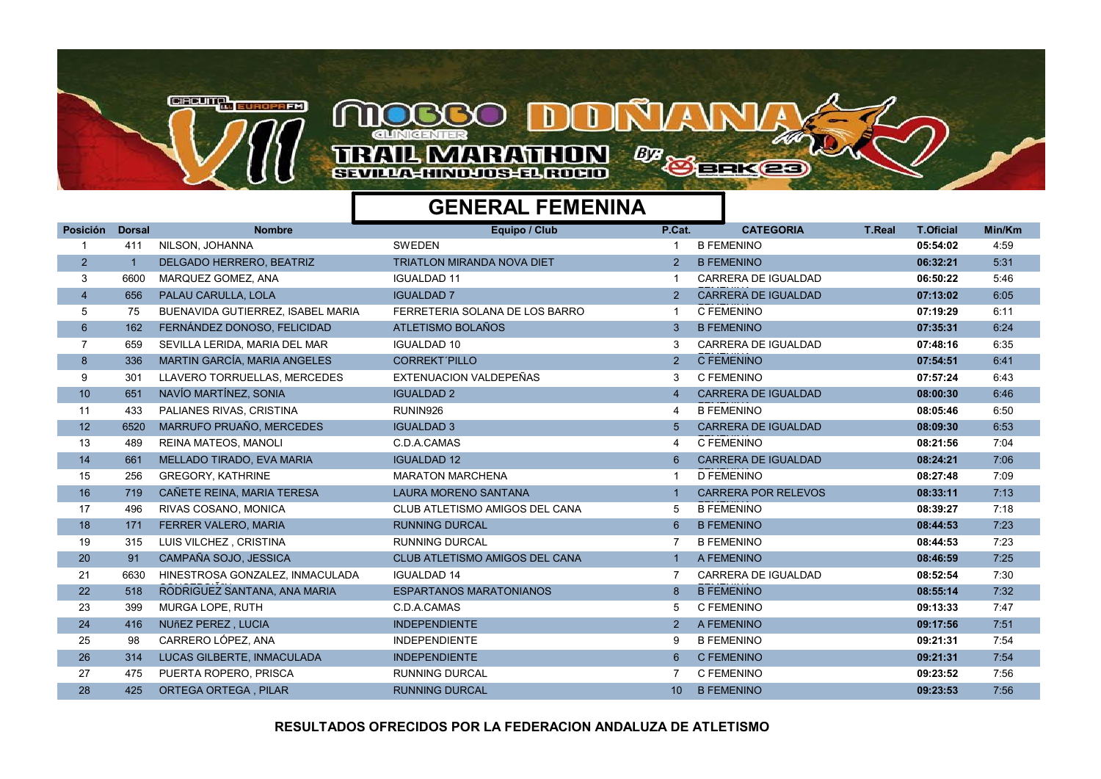

## **TRAIL MARATHON BB** BEKEE SEVILLA-HINDJOS-EL ROCIO

## GENERAL FEMENINA

## Posición Dorsal Nombre Equipo / Club CATEGORIA T.Real T.Oficial Min/Km 1 411 NILSON, JOHANNA SWEDEN 1 B FEMENINO 05:54:02 4:59 2 1 DELGADO HERRERO, BEATRIZ TRIATLON MIRANDA NOVA DIET 2 B FEMENINO 2 00:32:21 06:32:21 5:31 3 6600 MARQUEZ GOMEZ, ANA IGUALDAD 11 1 CARRERA DE IGUALDAD 06:50:22 5:46 FEMENINA 4 656 PALAU CARULLA, LOLA IGUALDAD 7 2 CARRERA DE IGUALDAD 07:13:02 6:05 FEMENINA 5 75 BUENAVIDA GUTIERREZ, ISABEL MARIA FERRETERIA SOLANA DE LOS BARRO 1 C FEMENINO 07:19:29 6:11 6 162 FERNÁNDEZ DONOSO, FELICIDAD ATLETISMO BOLAÑOS 3 B FEMENINO 07:35:31 6:24 7 659 SEVILLA LERIDA, MARIA DEL MAR IGUALDAD 10 3 CARRERA DE IGUALDAD 07:48:16 6:35 FEMENINA 8 336 MARTIN GARCÍA, MARIA ANGELES CORREKT´PILLO 2 C FEMENINO 07:54:51 6:41 9 301 LLAVERO TORRUELLAS, MERCEDES EXTENUACION VALDEPEÑAS 3 C FEMENINO 19 19:57:24 6:43 10 651 NAVÍO MARTÍNEZ, SONIA IGUALDAD 2 4 CARRERA DE IGUALDAD 08:00:30 6:46 FEMENINA 11 433 PALIANES RIVAS, CRISTINA RUNIN926 4 B FEMENINO 08:05:46 6:50 12 6520 MARRUFO PRUAÑO, MERCEDES IGUALDAD 3 5 CARRERA DE IGUALDAD 1999 **19:30 6:53** FEMENINA 13 489 REINA MATEOS, MANOLI C.D.A.CAMAS C.D.A.CAMAS 4 C FEMENINO 4 C FEMENINO 14 661 MELLADO TIRADO, EVA MARIA IGUALDAD 12 6 CARRERA DE IGUALDAD 08:24:21 7:06 FEMENINO 256 GREGORY, KATHRINE MARATON MARATON MARCHENA 1 D FEMENINO 256 GREGORY, KATHRINE 7:09 16 719 CAÑETE REINA, MARIA TERESA LAURA MORENO SANTANA 1999 1 CARRERA POR RELEVOS **08:33:11** 7:13 FEMENINA 17 496 RIVAS COSANO, MONICA CLUB ATLETISMO AMIGOS DEL CANA 5 B FEMENINO 08:39:27 7:18 18 171 FERRER VALERO, MARIA 1999 RUNNING DURCAL 1999 RESERVENINO 1999 RESERVENINO 1999-1999 1999-1999 1999-19 19 315 LUIS VILCHEZ , CRISTINA RUNNING DURCAL 7 B FEMENINO 08:44:53 7:23 20 91 CAMPAÑA SOJO, JESSICA CLUB ATLETISMO AMIGOS DEL CANA 1 A FEMENINO 1999 CREAGES 1999 7:25 6630 HINESTROSA GONZALEZ, INMACULADA 21 IGUALDAD 14 7 CARRERA DE IGUALDAD 08:52:54 7:30 22 518 RODRIGUEZ SANTANA, ANA MARIA ESPARTANOS MARATONIANOS 8 8 B FEMENINO 08:55:14 7:32 23 399 MURGA LOPE, RUTH C.D.A.CAMAS 5 C FEMENINO 7:47 24 416 NUñEZ PEREZ , LUCIA INDEPENDIENTE 2 A FEMENINO 09:17:56 7:51 25 98 CARRERO LÓPEZ, ANA INDEPENDIENTE 9 B FEMENINO 09:21:31 7:54 26 314 LUCAS GILBERTE, INMACULADA INDEPENDIENTE 6 C FEMENINO 09:21:31 7:54 27 475 PUERTA ROPERO, PRISCA NEW RUNNING DURCAL NEW YORKENINO 7 C FEMENINO NEW 19:23:52 7:56 28 425 ORTEGA ORTEGA PILAR RUNNING DURCAL 10 REFMENINO 10 B FEMENINO 19:23:53 7:56

RESULTADOS OFRECIDOS POR LA FEDERACION ANDALUZA DE ATLETISMO